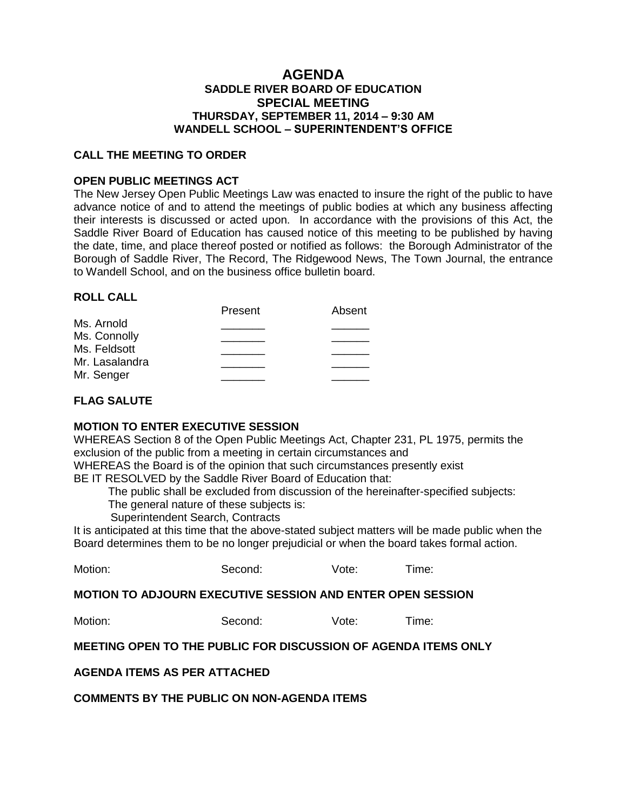# **AGENDA SADDLE RIVER BOARD OF EDUCATION SPECIAL MEETING THURSDAY, SEPTEMBER 11, 2014 – 9:30 AM WANDELL SCHOOL – SUPERINTENDENT'S OFFICE**

### **CALL THE MEETING TO ORDER**

## **OPEN PUBLIC MEETINGS ACT**

The New Jersey Open Public Meetings Law was enacted to insure the right of the public to have advance notice of and to attend the meetings of public bodies at which any business affecting their interests is discussed or acted upon. In accordance with the provisions of this Act, the Saddle River Board of Education has caused notice of this meeting to be published by having the date, time, and place thereof posted or notified as follows: the Borough Administrator of the Borough of Saddle River, The Record, The Ridgewood News, The Town Journal, the entrance to Wandell School, and on the business office bulletin board.

## **ROLL CALL**

| Present | Absent |
|---------|--------|
|         |        |
|         |        |
|         |        |
|         |        |
|         |        |
|         |        |

## **FLAG SALUTE**

### **MOTION TO ENTER EXECUTIVE SESSION**

WHEREAS Section 8 of the Open Public Meetings Act, Chapter 231, PL 1975, permits the exclusion of the public from a meeting in certain circumstances and

WHEREAS the Board is of the opinion that such circumstances presently exist

BE IT RESOLVED by the Saddle River Board of Education that:

The public shall be excluded from discussion of the hereinafter-specified subjects:

The general nature of these subjects is:

Superintendent Search, Contracts

It is anticipated at this time that the above-stated subject matters will be made public when the Board determines them to be no longer prejudicial or when the board takes formal action.

| Motion: | Second: | Vote: | Time: |
|---------|---------|-------|-------|
|         |         |       |       |

**MOTION TO ADJOURN EXECUTIVE SESSION AND ENTER OPEN SESSION**

Motion: Second: Vote: Time:

# **MEETING OPEN TO THE PUBLIC FOR DISCUSSION OF AGENDA ITEMS ONLY**

### **AGENDA ITEMS AS PER ATTACHED**

**COMMENTS BY THE PUBLIC ON NON-AGENDA ITEMS**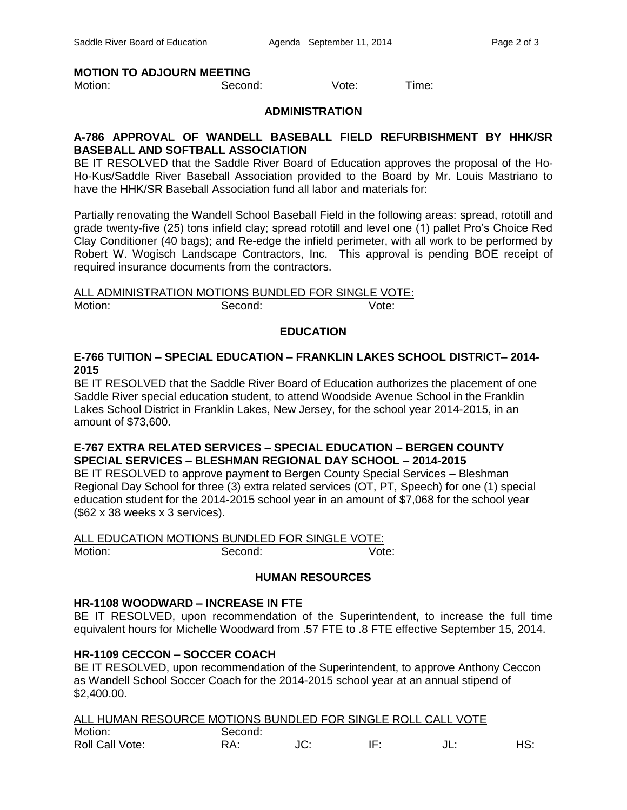### **MOTION TO ADJOURN MEETING**

Motion: Second: Vote: Time:

#### **ADMINISTRATION**

## **A-786 APPROVAL OF WANDELL BASEBALL FIELD REFURBISHMENT BY HHK/SR BASEBALL AND SOFTBALL ASSOCIATION**

BE IT RESOLVED that the Saddle River Board of Education approves the proposal of the Ho-Ho-Kus/Saddle River Baseball Association provided to the Board by Mr. Louis Mastriano to have the HHK/SR Baseball Association fund all labor and materials for:

Partially renovating the Wandell School Baseball Field in the following areas: spread, rototill and grade twenty-five (25) tons infield clay; spread rototill and level one (1) pallet Pro's Choice Red Clay Conditioner (40 bags); and Re-edge the infield perimeter, with all work to be performed by Robert W. Wogisch Landscape Contractors, Inc. This approval is pending BOE receipt of required insurance documents from the contractors.

ALL ADMINISTRATION MOTIONS BUNDLED FOR SINGLE VOTE: Motion: Second: Vote:

## **EDUCATION**

# **E-766 TUITION – SPECIAL EDUCATION – FRANKLIN LAKES SCHOOL DISTRICT– 2014- 2015**

BE IT RESOLVED that the Saddle River Board of Education authorizes the placement of one Saddle River special education student, to attend Woodside Avenue School in the Franklin Lakes School District in Franklin Lakes, New Jersey, for the school year 2014-2015, in an amount of \$73,600.

## **E-767 EXTRA RELATED SERVICES – SPECIAL EDUCATION – BERGEN COUNTY SPECIAL SERVICES – BLESHMAN REGIONAL DAY SCHOOL – 2014-2015**

BE IT RESOLVED to approve payment to Bergen County Special Services – Bleshman Regional Day School for three (3) extra related services (OT, PT, Speech) for one (1) special education student for the 2014-2015 school year in an amount of \$7,068 for the school year (\$62 x 38 weeks x 3 services).

ALL EDUCATION MOTIONS BUNDLED FOR SINGLE VOTE: Motion: Second: Second: Vote:

### **HUMAN RESOURCES**

### **HR-1108 WOODWARD – INCREASE IN FTE**

BE IT RESOLVED, upon recommendation of the Superintendent, to increase the full time equivalent hours for Michelle Woodward from .57 FTE to .8 FTE effective September 15, 2014.

### **HR-1109 CECCON – SOCCER COACH**

BE IT RESOLVED, upon recommendation of the Superintendent, to approve Anthony Ceccon as Wandell School Soccer Coach for the 2014-2015 school year at an annual stipend of \$2,400.00.

| ALL HUMAN RESOURCE MOTIONS BUNDLED FOR SINGLE ROLL CALL VOTE |         |     |     |     |
|--------------------------------------------------------------|---------|-----|-----|-----|
| Motion:                                                      | Second: |     |     |     |
| Roll Call Vote:                                              | RA:     | JC: | IF. | HS: |